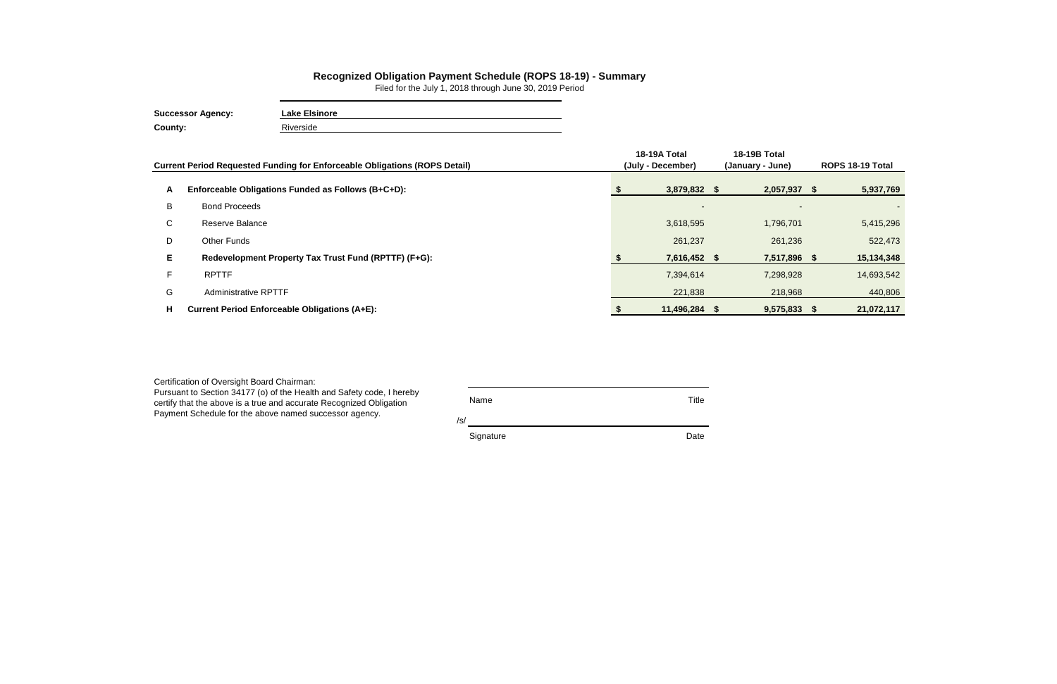| Certification of Oversight Board Chairman:<br>Pursuant to Section 34177 (o) of the Health and Safety code, I hereby<br>certify that the above is a true and accurate Recognized Obligation<br>Payment Schedule for the above named successor agency. | <b>Name</b><br>/s/ | Title |
|------------------------------------------------------------------------------------------------------------------------------------------------------------------------------------------------------------------------------------------------------|--------------------|-------|
|                                                                                                                                                                                                                                                      | Signature          | Date  |

|              | Current Period Requested Funding for Enforceable Obligations (ROPS Detail) | 18-19A Total<br>(July - December) | 18-19B Total<br>(January - June) |  | ROPS 18-19 Total |  |
|--------------|----------------------------------------------------------------------------|-----------------------------------|----------------------------------|--|------------------|--|
| A            | Enforceable Obligations Funded as Follows (B+C+D):                         | 3,879,832 \$                      | 2,057,937 \$                     |  | 5,937,769        |  |
| B            | <b>Bond Proceeds</b>                                                       | $\blacksquare$                    |                                  |  |                  |  |
| $\mathsf{C}$ | Reserve Balance                                                            | 3,618,595                         | 1,796,701                        |  | 5,415,296        |  |
| D            | Other Funds                                                                | 261,237                           | 261,236                          |  | 522,473          |  |
| E.           | Redevelopment Property Tax Trust Fund (RPTTF) (F+G):                       | 7,616,452 \$                      | 7,517,896 \$                     |  | 15,134,348       |  |
|              | <b>RPTTF</b>                                                               | 7,394,614                         | 7,298,928                        |  | 14,693,542       |  |
| G            | <b>Administrative RPTTF</b>                                                | 221,838                           | 218,968                          |  | 440,806          |  |
| н            | <b>Current Period Enforceable Obligations (A+E):</b>                       | 11,496,284 \$                     | 9,575,833 \$                     |  | 21,072,117       |  |

## **Recognized Obligation Payment Schedule (ROPS 18-19) - Summary**

Filed for the July 1, 2018 through June 30, 2019 Period

| <b>Successor Agency:</b> | <b>Lake Elsinore</b> |  |  |  |  |  |  |
|--------------------------|----------------------|--|--|--|--|--|--|
| County:                  | Riverside            |  |  |  |  |  |  |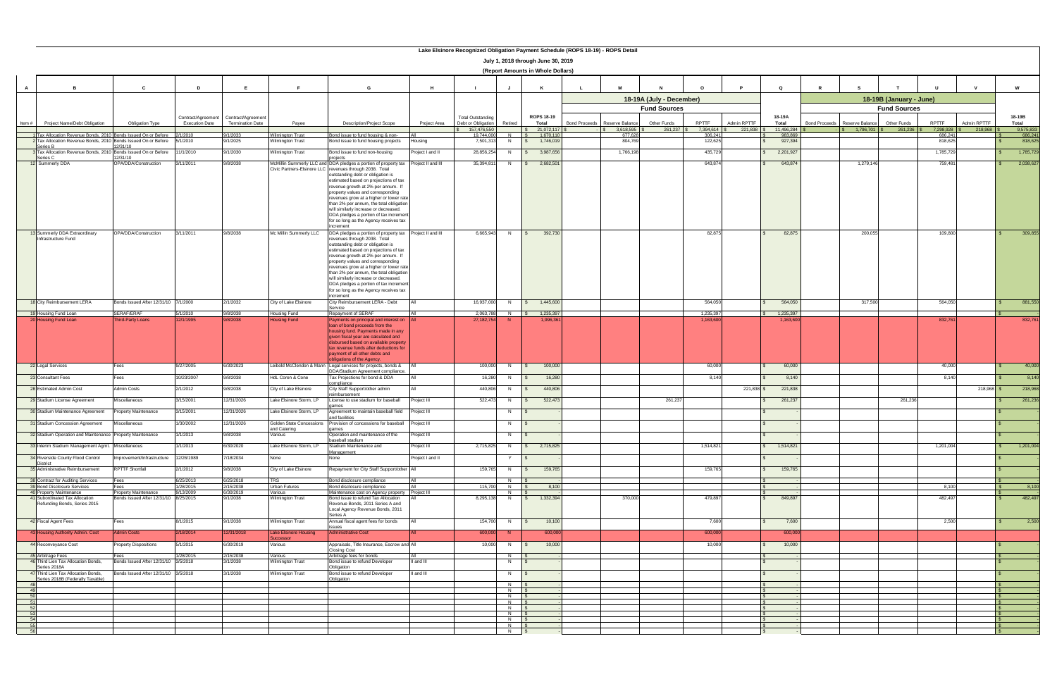|          | July 1, 2018 through June 30, 2019<br>(Report Amounts in Whole Dollars)                      |                                       |                        |                                                                  |                                                 |                                                                                                                             |                            |                                                |                          |                                      |                                         |                          |                         |             |                        |                                         |                         |                      |             |                              |
|----------|----------------------------------------------------------------------------------------------|---------------------------------------|------------------------|------------------------------------------------------------------|-------------------------------------------------|-----------------------------------------------------------------------------------------------------------------------------|----------------------------|------------------------------------------------|--------------------------|--------------------------------------|-----------------------------------------|--------------------------|-------------------------|-------------|------------------------|-----------------------------------------|-------------------------|----------------------|-------------|------------------------------|
|          |                                                                                              |                                       |                        |                                                                  |                                                 |                                                                                                                             |                            |                                                |                          |                                      |                                         |                          |                         |             |                        |                                         |                         |                      |             |                              |
| A        | <b>B</b>                                                                                     | C                                     | D                      | E                                                                | F.                                              | G                                                                                                                           | H                          | - 1                                            |                          | K                                    | M<br>L.                                 | $\mathbf N$              | $\Omega$                | <b>P</b>    | $\mathbf Q$            | $\mathbb{R}$<br><b>s</b>                |                         |                      |             | W                            |
|          |                                                                                              |                                       |                        |                                                                  |                                                 |                                                                                                                             |                            |                                                |                          |                                      |                                         | 18-19A (July - December) |                         |             |                        |                                         | 18-19B (January - June) |                      |             |                              |
|          |                                                                                              |                                       |                        |                                                                  |                                                 |                                                                                                                             |                            |                                                |                          |                                      |                                         | <b>Fund Sources</b>      |                         |             | 18-19A                 |                                         | <b>Fund Sources</b>     |                      |             |                              |
| Item $#$ | Project Name/Debt Obligation                                                                 | <b>Obligation Type</b>                | <b>Execution Date</b>  | Contract/Agreement Contract/Agreement<br><b>Termination Date</b> | Payee                                           | <b>Description/Project Scope</b>                                                                                            | Project Area               | <b>Total Outstanding</b><br>Debt or Obligation | Retired                  | ROPS 18-19<br>Total                  | <b>Bond Proceeds</b><br>Reserve Balance | Other Funds              | RPTTF                   | Admin RPTTF | Total                  | <b>Bond Proceeds</b><br>Reserve Balance | Other Funds             | <b>RPTTF</b>         | Admin RPTTF | 18-19B<br>Total              |
|          | Tax Allocation Revenue Bonds, 2010 Bonds Issued On or Before                                 |                                       | 2/1/2010               | 9/1/2033                                                         | <b>Nilmington Trust</b>                         | Bond issue to fund housing & non-                                                                                           |                            | 157,476,550<br>19,744,000                      | $N$ $\sqrt{S}$           | \$21,072,117<br>1.670.110            | 3.618.595<br>677.628                    | 261,237                  | 7,394,614 \$<br>306,241 | 221,838 \$  | 11,496,284<br>983.869  | 1.796.701                               | 261,236                 | 7,298,928<br>686.241 | 218,968     | 9,575,833<br>686,241         |
|          | 2 Tax Allocation Revenue Bonds, 2010 Bonds Issued On or Before<br>Series B                   | 2/31/10                               | 5/1/2010               | 9/1/2025                                                         | Wilmington Trust                                | Bond issue to fund housing projects                                                                                         | Housing                    | 7,501,313                                      | N                        | 1,746,019<br>$\sqrt{s}$              | 804,769                                 |                          | 122,625                 |             | 927,394                |                                         |                         | 818,625              |             | 818,625                      |
|          | Tax Allocation Revenue Bonds, 2010<br>Series C                                               | Bonds Issued On or Before<br>2/31/10  | 11/1/2010              | 9/1/2030                                                         | <b>Wilmington Trust</b>                         | Bond issue to fund non-housing                                                                                              | Project I and II           | 28,856,254                                     | N                        | 3,987,656<br>$\mathbb{S}$            | 1,766,198                               |                          | 435,729                 |             | 2,201,927              |                                         |                         | 1,785,729            |             | 1,785,729                    |
|          | 12 Summerly DDA                                                                              | OPA/DDA/Construction                  | 3/11/2011              | 9/8/2038                                                         |                                                 | McMillin Summerly LLC and DDA pledges a portion of property tax<br>Civic Partners-Elsinore LLC revenues through 2038. Total | Project II and III         | 35,394,811                                     | N                        | 2,682,501<br>$\mathbb{R}$            |                                         |                          | 643,874                 |             | 643,874                | 1,279,146                               |                         | 759,481              |             | 2,038,627                    |
|          |                                                                                              |                                       |                        |                                                                  |                                                 | outstanding debt or obligation is<br>estimated based on projections of tax                                                  |                            |                                                |                          |                                      |                                         |                          |                         |             |                        |                                         |                         |                      |             |                              |
|          |                                                                                              |                                       |                        |                                                                  |                                                 | revenue growth at 2% per annum. If<br>property values and corresponding                                                     |                            |                                                |                          |                                      |                                         |                          |                         |             |                        |                                         |                         |                      |             |                              |
|          |                                                                                              |                                       |                        |                                                                  |                                                 | revenues grow at a higher or lower rate                                                                                     |                            |                                                |                          |                                      |                                         |                          |                         |             |                        |                                         |                         |                      |             |                              |
|          |                                                                                              |                                       |                        |                                                                  |                                                 | than 2% per annum, the total obligation<br>will similarly increase or decreased.                                            |                            |                                                |                          |                                      |                                         |                          |                         |             |                        |                                         |                         |                      |             |                              |
|          |                                                                                              |                                       |                        |                                                                  |                                                 | DDA pledges a portion of tax increment<br>for so long as the Agency receives tax                                            |                            |                                                |                          |                                      |                                         |                          |                         |             |                        |                                         |                         |                      |             |                              |
|          | 13 Summerly DDA Extraordinary                                                                | OPA/DDA/Construction                  | 3/11/2011              | 9/8/2038                                                         | Mc Millin Summerly LLC                          | increment<br>DDA pledges a portion of property tax Project II and III                                                       |                            | 6,665,943                                      | N                        | 392,730<br>$\mathsf{S}$              |                                         |                          | 82,875                  |             | 82,875                 | 200,055                                 |                         | 109,800              |             | 309,855                      |
|          | Infrastructure Fund                                                                          |                                       |                        |                                                                  |                                                 | revenues through 2038. Total<br>outstanding debt or obligation is                                                           |                            |                                                |                          |                                      |                                         |                          |                         |             |                        |                                         |                         |                      |             |                              |
|          |                                                                                              |                                       |                        |                                                                  |                                                 | estimated based on projections of tax<br>revenue growth at 2% per annum. If                                                 |                            |                                                |                          |                                      |                                         |                          |                         |             |                        |                                         |                         |                      |             |                              |
|          |                                                                                              |                                       |                        |                                                                  |                                                 | property values and corresponding<br>revenues grow at a higher or lower rate                                                |                            |                                                |                          |                                      |                                         |                          |                         |             |                        |                                         |                         |                      |             |                              |
|          |                                                                                              |                                       |                        |                                                                  |                                                 | than 2% per annum, the total obligation                                                                                     |                            |                                                |                          |                                      |                                         |                          |                         |             |                        |                                         |                         |                      |             |                              |
|          |                                                                                              |                                       |                        |                                                                  |                                                 | will similarly increase or decreased.<br>DDA pledges a portion of tax increment                                             |                            |                                                |                          |                                      |                                         |                          |                         |             |                        |                                         |                         |                      |             |                              |
|          |                                                                                              |                                       |                        |                                                                  |                                                 | for so long as the Agency receives tax<br>increment                                                                         |                            |                                                |                          |                                      |                                         |                          |                         |             |                        |                                         |                         |                      |             |                              |
|          | 18 City Reimbursement LERA                                                                   | 3onds Issued After 12/31/10 7/1/2000  |                        | 2/1/2032                                                         | City of Lake Elsinore                           | City Reimbursement LERA - Debt<br>Service                                                                                   |                            | 16,937,000                                     | N                        | 1,445,600<br>$\mathsf{s}$            |                                         |                          | 564,050                 |             | 564,050                | 317,500                                 |                         | 564,050              |             | 881,550                      |
|          | 19 Housing Fund Loan<br>20 Housing Fund Loan                                                 | SERAF/ERAF<br>Third-Party Loans       | 5/1/2010<br>12/1/1995  | 9/8/2038<br>9/8/2038                                             | Housing Fund<br><b>Housing Fund</b>             | Repayment of SERAF<br>Payments on principal and interest on All                                                             |                            | 2.063.788<br>27, 182, 754                      | $N$ $S$<br>-N-           | 1,235,397<br>1,996,361               |                                         |                          | 1,235,397<br>1,163,600  |             | 1,235,397<br>1,163,600 |                                         |                         | 832,761              |             | 832,761                      |
|          |                                                                                              |                                       |                        |                                                                  |                                                 | loan of bond proceeds from the<br>housing fund. Payments made in any                                                        |                            |                                                |                          |                                      |                                         |                          |                         |             |                        |                                         |                         |                      |             |                              |
|          |                                                                                              |                                       |                        |                                                                  |                                                 | given fiscal year are calculated and<br>disbursed based on available property                                               |                            |                                                |                          |                                      |                                         |                          |                         |             |                        |                                         |                         |                      |             |                              |
|          |                                                                                              |                                       |                        |                                                                  |                                                 | tax revenue funds after deductions for                                                                                      |                            |                                                |                          |                                      |                                         |                          |                         |             |                        |                                         |                         |                      |             |                              |
|          |                                                                                              |                                       |                        |                                                                  |                                                 | payment of all other debts and<br>bligations of the Agency.                                                                 |                            |                                                |                          |                                      |                                         |                          |                         |             |                        |                                         |                         |                      |             |                              |
|          | 22 Legal Services                                                                            | Fees                                  | 9/27/2005              | 6/30/2023                                                        | eibold McClendon & Mann                         | Legal services for projects, bonds &<br>DDA/Stadium Agreement compliance.                                                   |                            | 100,000                                        |                          | 100,000<br>IS.                       |                                         |                          | 60,000                  |             | 60,000                 |                                         |                         | 40,000               |             | 40,000                       |
|          | 23 Consultant Fees                                                                           | Fees                                  | 10/23/2007             | 9/8/2038                                                         | HdL Coren & Cone                                | Tax Projections for bond & DDA<br>compliance                                                                                |                            | 16,280                                         | N                        | 16,280<br>$\mathsf{S}$               |                                         |                          | 8.140                   |             | 8,140                  |                                         |                         | 8,140                |             | 8,140                        |
|          | 28 Estimated Admin Cost                                                                      | <b>Admin Costs</b>                    | 2/1/2012               | 9/8/2038                                                         | City of Lake Elsinore                           | City Staff Support/other admin<br>reimbursement                                                                             |                            | 440,806                                        | N                        | 440,806                              |                                         |                          |                         | 221,838     | 221,838                |                                         |                         |                      | 218,968 \$  | 218,968                      |
|          | 29 Stadium License Agreement                                                                 | Miscellaneous                         | 3/15/2001              | 12/31/2026                                                       | Lake Elsinore Storm, LP                         | License to use stadium for baseball<br>ames                                                                                 | Project III                | 522,473                                        | N                        | 522,473<br>$\sqrt{s}$                |                                         | 261,237                  |                         |             | 261,237                |                                         | 261,236                 |                      |             | 261,236                      |
|          | 30 Stadium Maintenance Agreement                                                             | roperty Maintenance                   | 3/15/2001              | 12/31/2026                                                       | Lake Elsinore Storm, LP                         | Agreement to maintain baseball field<br>and facilities                                                                      | Project III                |                                                | N                        | IS                                   |                                         |                          |                         |             |                        |                                         |                         |                      |             |                              |
|          | 31 Stadium Concession Agreement<br>32 Stadium Operation and Maintenance Property Maintenance | Miscellaneous                         | 1/30/2002              | 12/31/2026                                                       | <b>Golden State Concessions</b><br>and Catering | Provision of concessions for baseball                                                                                       | Project III                |                                                | N                        | $\mathbb{R}$                         |                                         |                          |                         |             |                        |                                         |                         |                      |             |                              |
|          | 33 Interim Stadium Management Agmt. Miscellaneous                                            |                                       | 1/1/2013<br>1/1/2013   | 9/8/2038<br>6/30/2020                                            | /arious<br>Lake Elsinore Storm, LP              | Operation and maintenance of the<br>haseball stadium<br>Stadium Maintenance and                                             | Project III<br>Project III | 2,715,825                                      | N<br>N                   | <b>IS</b><br>2,715,825<br>$\sqrt{S}$ |                                         |                          | 1,514,821               |             | 1,514,821              |                                         |                         | 1,201,004            |             | 1,201,004                    |
|          | 34 Riverside County Flood Control                                                            | mprovement/Infrastructure             | 12/26/1989             | 7/18/2034                                                        | None                                            | Management<br>None                                                                                                          | Project I and II           |                                                | Y                        | <b>S</b>                             |                                         |                          |                         |             |                        |                                         |                         |                      |             |                              |
|          | <b>District</b><br>35 Administrative Reimbursement                                           | <b>RPTTF Shortfall</b>                | 2/1/2012               | 9/8/2038                                                         | City of Lake Elsinore                           | Repayment for City Staff Support/other All                                                                                  |                            | 159,765                                        | <b>N</b>                 | 159,765<br>$\mathsf{S}$              |                                         |                          | 159,765                 |             | 159,765                |                                         |                         |                      |             |                              |
|          | 38 Contract for Auditing Services                                                            | Fees                                  | 6/25/2013              | 6/25/2018                                                        | <b>TRS</b>                                      | Bond disclosure compliance                                                                                                  |                            |                                                | $N$ $S$                  |                                      |                                         |                          |                         |             |                        |                                         |                         |                      |             |                              |
|          | 39 Bond Disclosure Services<br>40 Property Maintenance                                       | Fees<br>Property Maintenance          | 1/28/2015<br>9/13/2009 | 2/15/2038<br>6/30/2019                                           | Urban Futures<br>Various                        | Bond disclosure compliance<br>Maintenance cost on Agency property Project III                                               |                            | 115,700                                        | $N$ $S$<br>N   \$        | 8.100                                |                                         |                          |                         |             |                        |                                         |                         | 8.100                |             | 8,100                        |
|          | 41 Subordinated Tax Allocation<br>Refunding Bonds, Series 2015                               | Bonds Issued After 12/31/10 8/25/2015 |                        | 9/1/2038                                                         | Wilmington Trust                                | Bond issue to refund Tax Allocation                                                                                         |                            | 8,295,138                                      | N                        | 1,332,394<br>$\mathsf{S}$            | 370,000                                 |                          | 479,897                 |             | 849,897                |                                         |                         | 482,497              |             | 482,497                      |
|          |                                                                                              |                                       |                        |                                                                  |                                                 | Revenue Bonds, 2011 Series A and<br>Local Agency Revenue Bonds, 2011<br>Series A                                            |                            |                                                |                          |                                      |                                         |                          |                         |             |                        |                                         |                         |                      |             |                              |
|          | 42 Fiscal Agent Fees                                                                         | Fees                                  | 8/1/2015               | 9/1/2038                                                         | Wilmington Trust                                | Annual fiscal agent fees for bonds<br><b>SSUES</b>                                                                          |                            | 154,700                                        | N                        | 10,100<br>$\mathbb{R}$               |                                         |                          | 7,600                   |             | 7,600                  |                                         |                         | 2,500                |             | 2,500                        |
|          | 43 Housing Authority Admin. Cost                                                             | <b>Admin Costs</b>                    | 2/18/2014              | 12/31/2018                                                       | Lake Elsinore Housing<br><b>ICCESSO</b>         | <b>Administrative Cost</b>                                                                                                  |                            | 600,000                                        | N                        | 600,000                              |                                         |                          | 600,000                 |             | 600,000                |                                         |                         |                      |             |                              |
|          | 44 Reconveyance Cost                                                                         | Property Dispositions                 | 5/1/2015               | 6/30/2019                                                        | Various                                         | Appraisals, Title Insurance, Escrow and All                                                                                 |                            | 10,000                                         | N                        | 10,000<br>$\sqrt{s}$                 |                                         |                          | 10,000                  |             | 10,000                 |                                         |                         |                      |             |                              |
|          | 45 Arbitrage Fees                                                                            | Fees                                  | 1/28/2015              | 2/15/2038                                                        | Various                                         | Closing Cost<br>Arbitrage fees for bonds                                                                                    | ΔII                        |                                                | N \$                     |                                      |                                         |                          |                         |             |                        |                                         |                         |                      |             |                              |
|          | 46 Third Lien Tax Allocation Bonds,<br>Series 2018A                                          | Bonds Issued After 12/31/10 3/5/2018  |                        | 3/1/2038                                                         | Vilmington Trust                                | Bond issue to refund Developer<br>Obligation                                                                                | II and III                 |                                                | N                        |                                      |                                         |                          |                         |             |                        |                                         |                         |                      |             |                              |
|          | 47 Third Lien Tax Allocation Bonds,<br>Series 2018B (Federally Taxable)                      | Bonds Issued After 12/31/10 3/5/2018  |                        | 3/1/2038                                                         | Wilmington Trust                                | Bond issue to refund Developer<br>Obligation                                                                                | II and III                 |                                                | N                        | $\mathsf{s}$                         |                                         |                          |                         |             |                        |                                         |                         |                      |             |                              |
| 48<br>49 |                                                                                              |                                       |                        |                                                                  |                                                 |                                                                                                                             |                            |                                                | $N$ $\sqrt{S}$<br>$N$ \$ |                                      |                                         |                          |                         |             |                        |                                         |                         |                      |             |                              |
| 50<br>51 |                                                                                              |                                       |                        |                                                                  |                                                 |                                                                                                                             |                            |                                                | $N$ $\sqrt{S}$<br>$N$ \$ |                                      |                                         |                          |                         |             | $\sqrt{S}$<br>$\sim$   |                                         |                         |                      |             | $\mathsf{S}$<br>$\mathbf{s}$ |
| 52<br>53 |                                                                                              |                                       |                        |                                                                  |                                                 |                                                                                                                             |                            |                                                | N \$<br>$N$ $\sqrt{S}$   |                                      |                                         |                          |                         |             |                        |                                         |                         |                      |             |                              |
| 54       |                                                                                              |                                       |                        |                                                                  |                                                 |                                                                                                                             |                            |                                                | $N$ $\sqrt{S}$<br>N \$   |                                      |                                         |                          |                         |             |                        |                                         |                         |                      |             | $\mathsf{R}$                 |
| 55<br>56 |                                                                                              |                                       |                        |                                                                  |                                                 |                                                                                                                             |                            |                                                | N \$                     |                                      |                                         |                          |                         |             |                        |                                         |                         |                      |             |                              |

## **Lake Elsinore Recognized Obligation Payment Schedule (ROPS 18-19) - ROPS Detail**